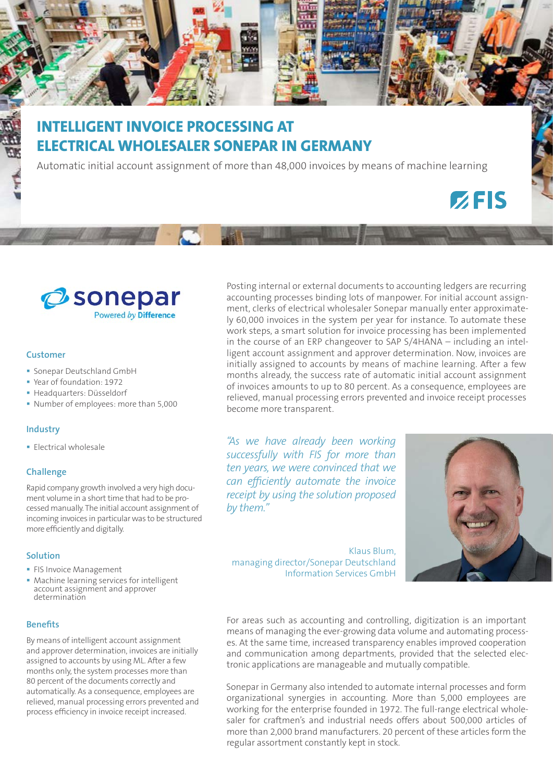

# **INTELLIGENT INVOICE PROCESSING AT ELECTRICAL WHOLESALER SONEPAR IN GERMANY**

Automatic initial account assignment of more than 48,000 invoices by means of machine learning



## **Customer**

- **Sonepar Deutschland GmbH**
- Year of foundation: 1972
- Headquarters: Düsseldorf
- Number of employees: more than 5,000

## **Industry**

**Electrical wholesale** 

## **Challenge**

Rapid company growth involved a very high document volume in a short time that had to be processed manually. The initial account assignment of incoming invoices in particular was to be structured more efficiently and digitally.

#### **Solution**

- **FIS Invoice Management**
- **Machine learning services for intelligent** account assignment and approver determination

## **Benefits**

By means of intelligent account assignment and approver determination, invoices are initially assigned to accounts by using ML. After a few months only, the system processes more than 80 percent of the documents correctly and automatically. As a consequence, employees are relieved, manual processing errors prevented and process efficiency in invoice receipt increased.

Posting internal or external documents to accounting ledgers are recurring accounting processes binding lots of manpower. For initial account assignment, clerks of electrical wholesaler Sonepar manually enter approximately 60,000 invoices in the system per year for instance. To automate these work steps, a smart solution for invoice processing has been implemented in the course of an ERP changeover to SAP S/4HANA – including an intelligent account assignment and approver determination. Now, invoices are initially assigned to accounts by means of machine learning. After a few months already, the success rate of automatic initial account assignment of invoices amounts to up to 80 percent. As a consequence, employees are relieved, manual processing errors prevented and invoice receipt processes become more transparent.

*"As we have already been working successfully with FIS for more than ten years, we were convinced that we can efficiently automate the invoice receipt by using the solution proposed by them."*



 $Z$ FIS

Klaus Blum, managing director/Sonepar Deutschland Information Services GmbH

For areas such as accounting and controlling, digitization is an important means of managing the ever-growing data volume and automating processes. At the same time, increased transparency enables improved cooperation and communication among departments, provided that the selected electronic applications are manageable and mutually compatible.

Sonepar in Germany also intended to automate internal processes and form organizational synergies in accounting. More than 5,000 employees are working for the enterprise founded in 1972. The full-range electrical wholesaler for craftmen's and industrial needs offers about 500,000 articles of more than 2,000 brand manufacturers. 20 percent of these articles form the regular assortment constantly kept in stock.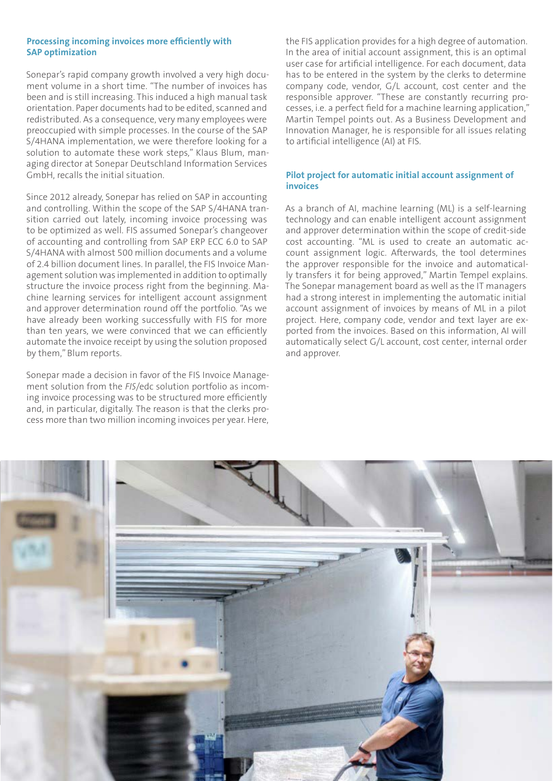# **Processing incoming invoices more efficiently with SAP optimization**

Sonepar's rapid company growth involved a very high document volume in a short time. "The number of invoices has been and is still increasing. This induced a high manual task orientation. Paper documents had to be edited, scanned and redistributed. As a consequence, very many employees were preoccupied with simple processes. In the course of the SAP S/4HANA implementation, we were therefore looking for a solution to automate these work steps," Klaus Blum, managing director at Sonepar Deutschland Information Services GmbH, recalls the initial situation.

Since 2012 already, Sonepar has relied on SAP in accounting and controlling. Within the scope of the SAP S/4HANA transition carried out lately, incoming invoice processing was to be optimized as well. FIS assumed Sonepar's changeover of accounting and controlling from SAP ERP ECC 6.0 to SAP S/4HANA with almost 500 million documents and a volume of 2.4 billion document lines. In parallel, the FIS Invoice Management solution was implemented in addition to optimally structure the invoice process right from the beginning. Machine learning services for intelligent account assignment and approver determination round off the portfolio. "As we have already been working successfully with FIS for more than ten years, we were convinced that we can efficiently automate the invoice receipt by using the solution proposed by them," Blum reports.

Sonepar made a decision in favor of the FIS Invoice Management solution from the *FIS*/edc solution portfolio as incoming invoice processing was to be structured more efficiently and, in particular, digitally. The reason is that the clerks process more than two million incoming invoices per year. Here, the FIS application provides for a high degree of automation. In the area of initial account assignment, this is an optimal user case for artificial intelligence. For each document, data has to be entered in the system by the clerks to determine company code, vendor, G/L account, cost center and the responsible approver. "These are constantly recurring processes, i.e. a perfect field for a machine learning application," Martin Tempel points out. As a Business Development and Innovation Manager, he is responsible for all issues relating to artificial intelligence (AI) at FIS.

## **Pilot project for automatic initial account assignment of invoices**

As a branch of AI, machine learning (ML) is a self-learning technology and can enable intelligent account assignment and approver determination within the scope of credit-side cost accounting. "ML is used to create an automatic account assignment logic. Afterwards, the tool determines the approver responsible for the invoice and automatically transfers it for being approved," Martin Tempel explains. The Sonepar management board as well as the IT managers had a strong interest in implementing the automatic initial account assignment of invoices by means of ML in a pilot project. Here, company code, vendor and text layer are exported from the invoices. Based on this information, AI will automatically select G/L account, cost center, internal order and approver.

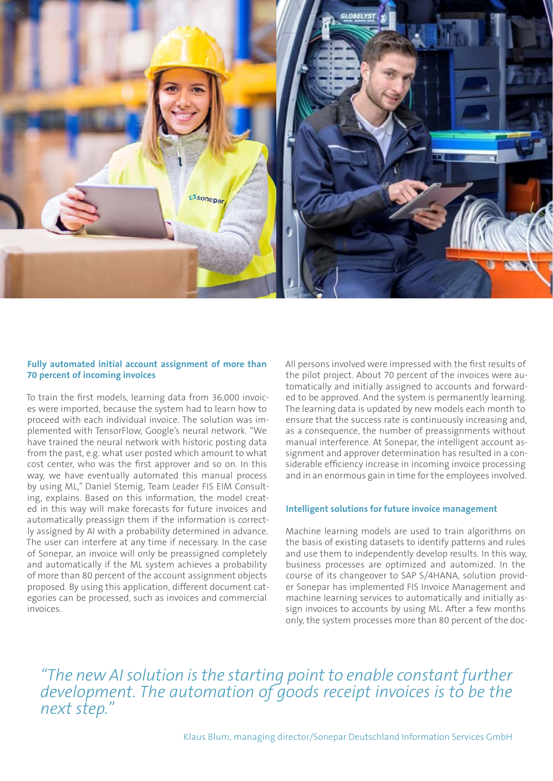

## **Fully automated initial account assignment of more than 70 percent of incoming invoices**

To train the first models, learning data from 36,000 invoices were imported, because the system had to learn how to proceed with each individual invoice. The solution was implemented with TensorFlow, Google's neural network. "We have trained the neural network with historic posting data from the past, e.g. what user posted which amount to what cost center, who was the first approver and so on. In this way, we have eventually automated this manual process by using ML," Daniel Stemig, Team Leader FIS EIM Consulting, explains. Based on this information, the model created in this way will make forecasts for future invoices and automatically preassign them if the information is correctly assigned by AI with a probability determined in advance. The user can interfere at any time if necessary. In the case of Sonepar, an invoice will only be preassigned completely and automatically if the ML system achieves a probability of more than 80 percent of the account assignment objects proposed. By using this application, different document categories can be processed, such as invoices and commercial invoices.

All persons involved were impressed with the first results of the pilot project. About 70 percent of the invoices were automatically and initially assigned to accounts and forwarded to be approved. And the system is permanently learning. The learning data is updated by new models each month to ensure that the success rate is continuously increasing and, as a consequence, the number of preassignments without manual interference. At Sonepar, the intelligent account assignment and approver determination has resulted in a considerable efficiency increase in incoming invoice processing and in an enormous gain in time for the employees involved.

## **Intelligent solutions for future invoice management**

Machine learning models are used to train algorithms on the basis of existing datasets to identify patterns and rules and use them to independently develop results. In this way, business processes are optimized and automized. In the course of its changeover to SAP S/4HANA, solution provider Sonepar has implemented FIS Invoice Management and machine learning services to automatically and initially assign invoices to accounts by using ML. After a few months only, the system processes more than 80 percent of the doc-

*"The new AI solution is the starting point to enable constant further development. The automation of goods receipt invoices is to be the next step."*